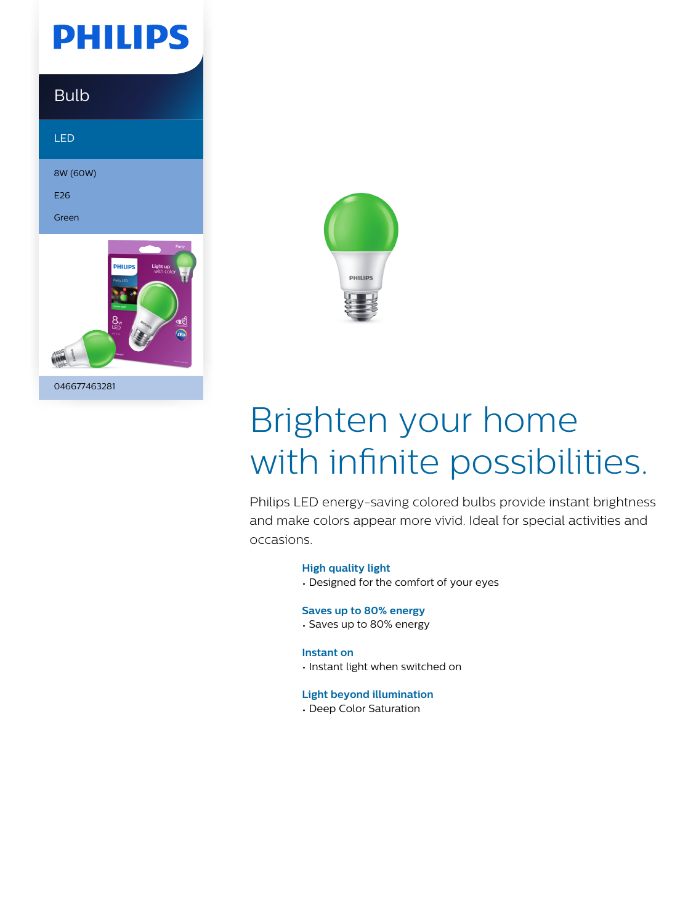

### Bulb

LED

8W (60W)

E26

Green





# Brighten your home with infinite possibilities.

Philips LED energy-saving colored bulbs provide instant brightness and make colors appear more vivid. Ideal for special activities and occasions.

#### **High quality light**

• Designed for the comfort of your eyes

#### **Saves up to 80% energy**

• Saves up to 80% energy

#### **Instant on**

• Instant light when switched on

#### **Light beyond illumination**

• Deep Color Saturation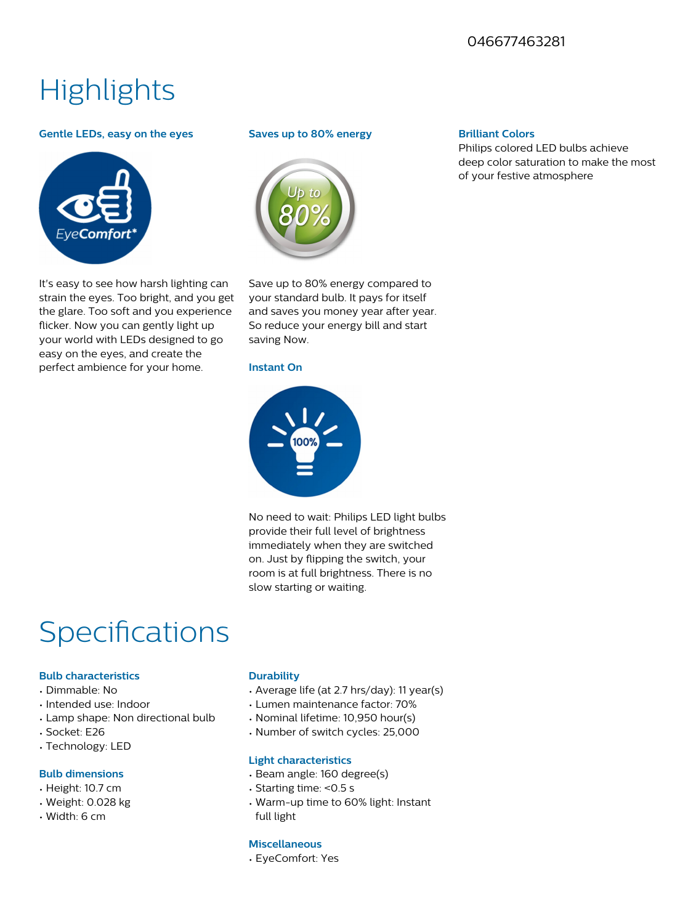#### 046677463281

## **Highlights**

#### **Gentle LEDs, easy on the eyes**



It's easy to see how harsh lighting can strain the eyes. Too bright, and you get the glare. Too soft and you experience flicker. Now you can gently light up your world with LEDs designed to go easy on the eyes, and create the perfect ambience for your home.

#### **Saves up to 80% energy**



Save up to 80% energy compared to your standard bulb. It pays for itself and saves you money year after year. So reduce your energy bill and start saving Now.

#### **Instant On**



No need to wait: Philips LED light bulbs provide their full level of brightness immediately when they are switched on. Just by flipping the switch, your room is at full brightness. There is no slow starting or waiting.

### Specifications

#### **Bulb characteristics**

- Dimmable: No
- Intended use: Indoor
- Lamp shape: Non directional bulb
- Socket: E26
- Technology: LED

#### **Bulb dimensions**

- Height: 10.7 cm
- Weight: 0.028 kg
- Width: 6 cm

#### **Durability**

- Average life (at 2.7 hrs/day): 11 year(s)
- Lumen maintenance factor: 70%
- Nominal lifetime: 10,950 hour(s)
- Number of switch cycles: 25,000

#### **Light characteristics**

- Beam angle: 160 degree(s)
- Starting time: <0.5 s
- Warm-up time to 60% light: Instant full light

#### **Miscellaneous**

• EyeComfort: Yes

#### **Brilliant Colors**

Philips colored LED bulbs achieve deep color saturation to make the most of your festive atmosphere